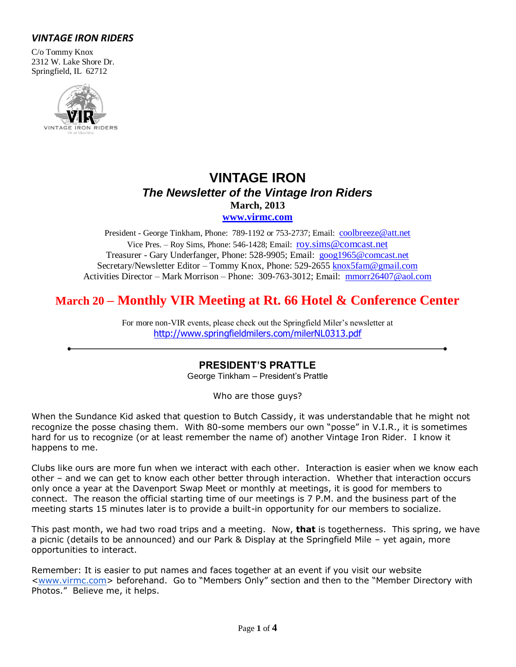## *VINTAGE IRON RIDERS*

C/o Tommy Knox 2312 W. Lake Shore Dr. Springfield, IL 62712



# **VINTAGE IRON** *The Newsletter of the Vintage Iron Riders* **March, 2013**

**[www.virmc.com](http://www.virmc.com/)** 

President - George Tinkham, Phone: 789-1192 or 753-2737; Email: [coolbreeze@att.net](mailto:coolbreeze@att.net) Vice Pres. – Roy Sims, Phone: 546-1428; Email: [roy.sims@comcast.net](mailto:roy.sims@comcast.net) Treasurer - Gary Underfanger, Phone: 528-9905; Email: [goog1965@comcast.net](mailto:goog1965@comcast.net) Secretary/Newsletter Editor – Tommy Knox, Phone: 529-2655 [knox5fam@gmail.com](mailto:knox5fam@gmail.com) Activities Director – Mark Morrison – Phone: 309-763-3012; Email: [mmorr26407@aol.com](mailto:mmorr26407@aol.com)

## **March 20 – Monthly VIR Meeting at Rt. 66 Hotel & Conference Center**

For more non-VIR events, please check out the Springfield Miler's newsletter at [http://www.springfieldmilers.com/milerNL0313.pdf](http://www.springfieldmilers.com/milerNL0113.pdf)

### **PRESIDENT'S PRATTLE**

George Tinkham – President's Prattle

Who are those guys?

When the Sundance Kid asked that question to Butch Cassidy, it was understandable that he might not recognize the posse chasing them. With 80-some members our own "posse" in V.I.R., it is sometimes hard for us to recognize (or at least remember the name of) another Vintage Iron Rider. I know it happens to me.

Clubs like ours are more fun when we interact with each other. Interaction is easier when we know each other – and we can get to know each other better through interaction. Whether that interaction occurs only once a year at the Davenport Swap Meet or monthly at meetings, it is good for members to connect. The reason the official starting time of our meetings is 7 P.M. and the business part of the meeting starts 15 minutes later is to provide a built-in opportunity for our members to socialize.

This past month, we had two road trips and a meeting. Now, **that** is togetherness. This spring, we have a picnic (details to be announced) and our Park & Display at the Springfield Mile – yet again, more opportunities to interact.

Remember: It is easier to put names and faces together at an event if you visit our website [<www.virmc.com>](http://www.virmc.com/) beforehand. Go to "Members Only" section and then to the "Member Directory with Photos." Believe me, it helps.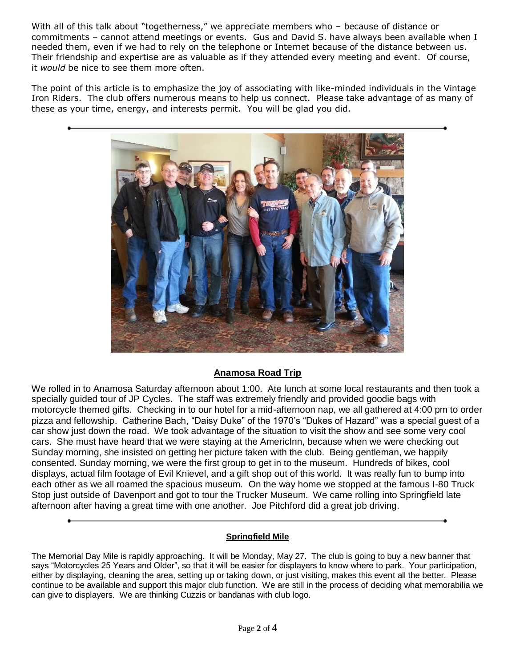With all of this talk about "togetherness," we appreciate members who - because of distance or commitments – cannot attend meetings or events. Gus and David S. have always been available when I needed them, even if we had to rely on the telephone or Internet because of the distance between us. Their friendship and expertise are as valuable as if they attended every meeting and event. Of course, it *would* be nice to see them more often.

The point of this article is to emphasize the joy of associating with like-minded individuals in the Vintage Iron Riders. The club offers numerous means to help us connect. Please take advantage of as many of these as your time, energy, and interests permit. You will be glad you did.



## **Anamosa Road Trip**

We rolled in to Anamosa Saturday afternoon about 1:00. Ate lunch at some local restaurants and then took a specially guided tour of JP Cycles. The staff was extremely friendly and provided goodie bags with motorcycle themed gifts. Checking in to our hotel for a mid-afternoon nap, we all gathered at 4:00 pm to order pizza and fellowship. Catherine Bach, "Daisy Duke" of the 1970's "Dukes of Hazard" was a special guest of a car show just down the road. We took advantage of the situation to visit the show and see some very cool cars. She must have heard that we were staying at the AmericInn, because when we were checking out Sunday morning, she insisted on getting her picture taken with the club. Being gentleman, we happily consented. Sunday morning, we were the first group to get in to the museum. Hundreds of bikes, cool displays, actual film footage of Evil Knievel, and a gift shop out of this world. It was really fun to bump into each other as we all roamed the spacious museum. On the way home we stopped at the famous I-80 Truck Stop just outside of Davenport and got to tour the Trucker Museum. We came rolling into Springfield late afternoon after having a great time with one another. Joe Pitchford did a great job driving.

#### **Springfield Mile**

The Memorial Day Mile is rapidly approaching. It will be Monday, May 27. The club is going to buy a new banner that says "Motorcycles 25 Years and Older", so that it will be easier for displayers to know where to park. Your participation, either by displaying, cleaning the area, setting up or taking down, or just visiting, makes this event all the better. Please continue to be available and support this major club function. We are still in the process of deciding what memorabilia we can give to displayers. We are thinking Cuzzis or bandanas with club logo.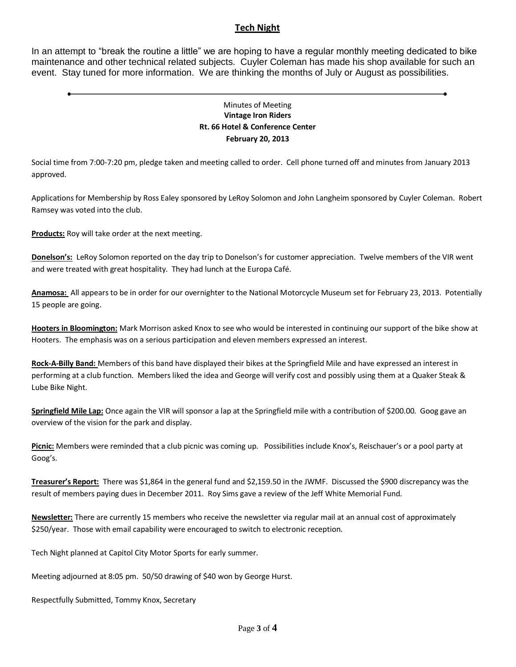#### **Tech Night**

In an attempt to "break the routine a little" we are hoping to have a regular monthly meeting dedicated to bike maintenance and other technical related subjects. Cuyler Coleman has made his shop available for such an event. Stay tuned for more information. We are thinking the months of July or August as possibilities.

#### Minutes of Meeting **Vintage Iron Riders Rt. 66 Hotel & Conference Center February 20, 2013**

Social time from 7:00-7:20 pm, pledge taken and meeting called to order. Cell phone turned off and minutes from January 2013 approved.

Applications for Membership by Ross Ealey sponsored by LeRoy Solomon and John Langheim sponsored by Cuyler Coleman. Robert Ramsey was voted into the club.

**Products:** Roy will take order at the next meeting.

**Donelson's:** LeRoy Solomon reported on the day trip to Donelson's for customer appreciation. Twelve members of the VIR went and were treated with great hospitality. They had lunch at the Europa Café.

**Anamosa:** All appears to be in order for our overnighter to the National Motorcycle Museum set for February 23, 2013. Potentially 15 people are going.

**Hooters in Bloomington:** Mark Morrison asked Knox to see who would be interested in continuing our support of the bike show at Hooters. The emphasis was on a serious participation and eleven members expressed an interest.

**Rock-A-Billy Band:** Members of this band have displayed their bikes at the Springfield Mile and have expressed an interest in performing at a club function. Members liked the idea and George will verify cost and possibly using them at a Quaker Steak & Lube Bike Night.

**Springfield Mile Lap:** Once again the VIR will sponsor a lap at the Springfield mile with a contribution of \$200.00. Goog gave an overview of the vision for the park and display.

**Picnic:** Members were reminded that a club picnic was coming up. Possibilities include Knox's, Reischauer's or a pool party at Goog's.

**Treasurer's Report:** There was \$1,864 in the general fund and \$2,159.50 in the JWMF. Discussed the \$900 discrepancy was the result of members paying dues in December 2011. Roy Sims gave a review of the Jeff White Memorial Fund.

**Newsletter:** There are currently 15 members who receive the newsletter via regular mail at an annual cost of approximately \$250/year. Those with email capability were encouraged to switch to electronic reception.

Tech Night planned at Capitol City Motor Sports for early summer.

Meeting adjourned at 8:05 pm. 50/50 drawing of \$40 won by George Hurst.

Respectfully Submitted, Tommy Knox, Secretary